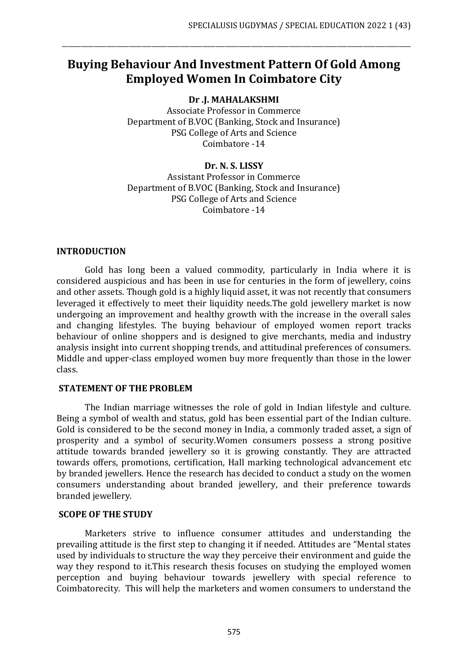# **Buying Behaviour And Investment Pattern Of Gold Among Employed Women In Coimbatore City**

\_\_\_\_\_\_\_\_\_\_\_\_\_\_\_\_\_\_\_\_\_\_\_\_\_\_\_\_\_\_\_\_\_\_\_\_\_\_\_\_\_\_\_\_\_\_\_\_\_\_\_\_\_\_\_\_\_\_\_\_\_\_\_\_\_\_\_\_\_\_\_\_\_\_\_\_\_\_\_\_\_\_\_\_\_\_\_\_\_\_\_\_\_\_\_\_\_\_\_\_\_\_\_\_\_\_\_\_\_

**Dr .J. MAHALAKSHMI**

Associate Professor in Commerce Department of B.VOC (Banking, Stock and Insurance) PSG College of Arts and Science Coimbatore -14

#### **Dr. N. S. LISSY**

Assistant Professor in Commerce Department of B.VOC (Banking, Stock and Insurance) PSG College of Arts and Science Coimbatore -14

## **INTRODUCTION**

Gold has long been a valued commodity, particularly in India where it is considered auspicious and has been in use for centuries in the form of jewellery, coins and other assets. Though gold is a highly liquid asset, it was not recently that consumers leveraged it effectively to meet their liquidity needs.The gold jewellery market is now undergoing an improvement and healthy growth with the increase in the overall sales and changing lifestyles. The buying behaviour of employed women report tracks behaviour of online shoppers and is designed to give merchants, media and industry analysis insight into current shopping trends, and attitudinal preferences of consumers. Middle and upper-class employed women buy more frequently than those in the lower class.

#### **STATEMENT OF THE PROBLEM**

The Indian marriage witnesses the role of gold in Indian lifestyle and culture. Being a symbol of wealth and status, gold has been essential part of the Indian culture. Gold is considered to be the second money in India, a commonly traded asset, a sign of prosperity and a symbol of security.Women consumers possess a strong positive attitude towards branded jewellery so it is growing constantly. They are attracted towards offers, promotions, certification, Hall marking technological advancement etc by branded jewellers. Hence the research has decided to conduct a study on the women consumers understanding about branded jewellery, and their preference towards branded jewellery.

#### **SCOPE OF THE STUDY**

Marketers strive to influence consumer attitudes and understanding the prevailing attitude is the first step to changing it if needed. Attitudes are "Mental states used by individuals to structure the way they perceive their environment and guide the way they respond to it.This research thesis focuses on studying the employed women perception and buying behaviour towards jewellery with special reference to Coimbatorecity. This will help the marketers and women consumers to understand the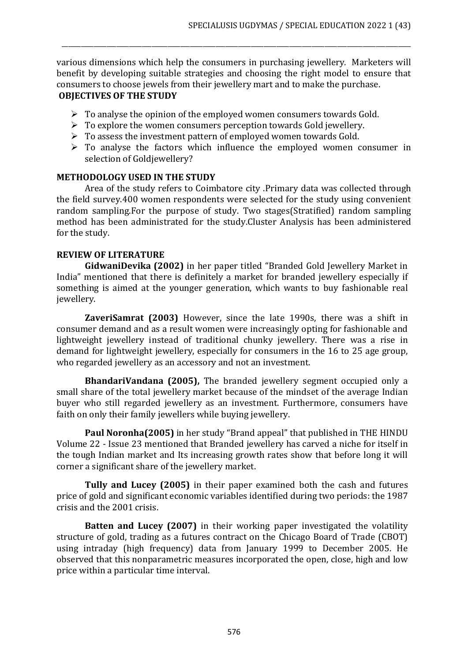various dimensions which help the consumers in purchasing jewellery. Marketers will benefit by developing suitable strategies and choosing the right model to ensure that consumers to choose jewels from their jewellery mart and to make the purchase. **OBJECTIVES OF THE STUDY**

\_\_\_\_\_\_\_\_\_\_\_\_\_\_\_\_\_\_\_\_\_\_\_\_\_\_\_\_\_\_\_\_\_\_\_\_\_\_\_\_\_\_\_\_\_\_\_\_\_\_\_\_\_\_\_\_\_\_\_\_\_\_\_\_\_\_\_\_\_\_\_\_\_\_\_\_\_\_\_\_\_\_\_\_\_\_\_\_\_\_\_\_\_\_\_\_\_\_\_\_\_\_\_\_\_\_\_\_\_

- $\triangleright$  To analyse the opinion of the employed women consumers towards Gold.
- $\triangleright$  To explore the women consumers perception towards Gold jewellery.
- ➢ To assess the investment pattern of employed women towards Gold.
- ➢ To analyse the factors which influence the employed women consumer in selection of Goldjewellery?

#### **METHODOLOGY USED IN THE STUDY**

Area of the study refers to Coimbatore city .Primary data was collected through the field survey.400 women respondents were selected for the study using convenient random sampling.For the purpose of study. Two stages(Stratified) random sampling method has been administrated for the study.Cluster Analysis has been administered for the study.

## **REVIEW OF LITERATURE**

**GidwaniDevika (2002)** in her paper titled "Branded Gold Jewellery Market in India" mentioned that there is definitely a market for branded jewellery especially if something is aimed at the younger generation, which wants to buy fashionable real jewellery.

**ZaveriSamrat (2003)** However, since the late 1990s, there was a shift in consumer demand and as a result women were increasingly opting for fashionable and lightweight jewellery instead of traditional chunky jewellery. There was a rise in demand for lightweight jewellery, especially for consumers in the 16 to 25 age group, who regarded jewellery as an accessory and not an investment.

**BhandariVandana (2005),** The branded jewellery segment occupied only a small share of the total jewellery market because of the mindset of the average Indian buyer who still regarded jewellery as an investment. Furthermore, consumers have faith on only their family jewellers while buying jewellery.

**Paul Noronha(2005)** in her study "Brand appeal" that published in THE HINDU Volume 22 - Issue 23 mentioned that Branded jewellery has carved a niche for itself in the tough Indian market and Its increasing growth rates show that before long it will corner a significant share of the jewellery market.

**Tully and Lucey (2005)** in their paper examined both the cash and futures price of gold and significant economic variables identified during two periods: the 1987 crisis and the 2001 crisis.

**Batten and Lucey (2007)** in their working paper investigated the volatility structure of gold, trading as a futures contract on the Chicago Board of Trade (CBOT) using intraday (high frequency) data from January 1999 to December 2005. He observed that this nonparametric measures incorporated the open, close, high and low price within a particular time interval.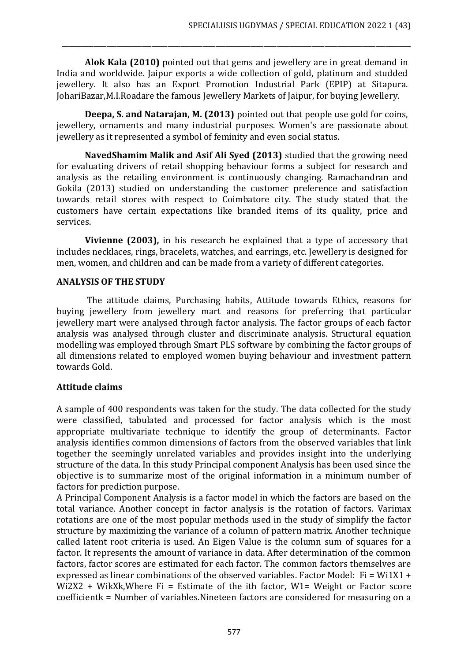**Alok Kala (2010)** pointed out that gems and jewellery are in great demand in India and worldwide. Jaipur exports a wide collection of gold, platinum and studded jewellery. It also has an Export Promotion Industrial Park (EPIP) at Sitapura. JohariBazar,M.I.Roadare the famous Jewellery Markets of Jaipur, for buying Jewellery.

\_\_\_\_\_\_\_\_\_\_\_\_\_\_\_\_\_\_\_\_\_\_\_\_\_\_\_\_\_\_\_\_\_\_\_\_\_\_\_\_\_\_\_\_\_\_\_\_\_\_\_\_\_\_\_\_\_\_\_\_\_\_\_\_\_\_\_\_\_\_\_\_\_\_\_\_\_\_\_\_\_\_\_\_\_\_\_\_\_\_\_\_\_\_\_\_\_\_\_\_\_\_\_\_\_\_\_\_\_

**Deepa, S. and Natarajan, M. (2013)** pointed out that people use gold for coins, jewellery, ornaments and many industrial purposes. Women's are passionate about jewellery as it represented a symbol of feminity and even social status.

**NavedShamim Malik and Asif Ali Syed (2013)** studied that the growing need for evaluating drivers of retail shopping behaviour forms a subject for research and analysis as the retailing environment is continuously changing. Ramachandran and Gokila (2013) studied on understanding the customer preference and satisfaction towards retail stores with respect to Coimbatore city. The study stated that the customers have certain expectations like branded items of its quality, price and services.

**Vivienne (2003),** in his research he explained that a type of accessory that includes necklaces, rings, bracelets, watches, and earrings, etc. Jewellery is designed for men, women, and children and can be made from a variety of different categories.

#### **ANALYSIS OF THE STUDY**

The attitude claims, Purchasing habits, Attitude towards Ethics, reasons for buying jewellery from jewellery mart and reasons for preferring that particular jewellery mart were analysed through factor analysis. The factor groups of each factor analysis was analysed through cluster and discriminate analysis. Structural equation modelling was employed through Smart PLS software by combining the factor groups of all dimensions related to employed women buying behaviour and investment pattern towards Gold.

#### **Attitude claims**

A sample of 400 respondents was taken for the study. The data collected for the study were classified, tabulated and processed for factor analysis which is the most appropriate multivariate technique to identify the group of determinants. Factor analysis identifies common dimensions of factors from the observed variables that link together the seemingly unrelated variables and provides insight into the underlying structure of the data. In this study Principal component Analysis has been used since the objective is to summarize most of the original information in a minimum number of factors for prediction purpose.

A Principal Component Analysis is a factor model in which the factors are based on the total variance. Another concept in factor analysis is the rotation of factors. Varimax rotations are one of the most popular methods used in the study of simplify the factor structure by maximizing the variance of a column of pattern matrix. Another technique called latent root criteria is used. An Eigen Value is the column sum of squares for a factor. It represents the amount of variance in data. After determination of the common factors, factor scores are estimated for each factor. The common factors themselves are expressed as linear combinations of the observed variables. Factor Model:  $Fi = Wi1X1 +$ Wi2X2 + WikXk,Where Fi = Estimate of the ith factor, W1= Weight or Factor score coefficientk = Number of variables.Nineteen factors are considered for measuring on a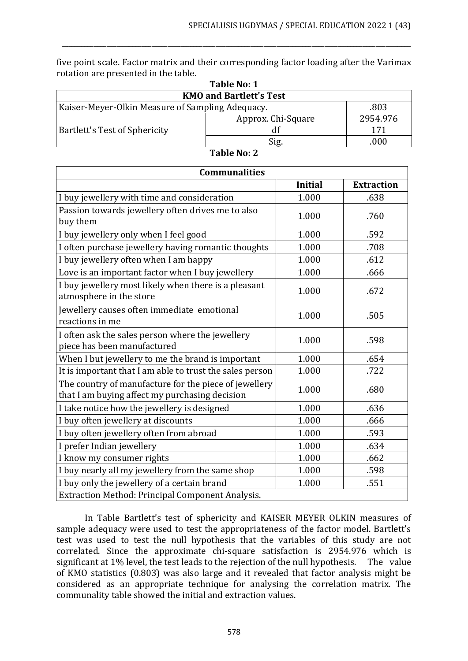five point scale. Factor matrix and their corresponding factor loading after the Varimax rotation are presented in the table.

\_\_\_\_\_\_\_\_\_\_\_\_\_\_\_\_\_\_\_\_\_\_\_\_\_\_\_\_\_\_\_\_\_\_\_\_\_\_\_\_\_\_\_\_\_\_\_\_\_\_\_\_\_\_\_\_\_\_\_\_\_\_\_\_\_\_\_\_\_\_\_\_\_\_\_\_\_\_\_\_\_\_\_\_\_\_\_\_\_\_\_\_\_\_\_\_\_\_\_\_\_\_\_\_\_\_\_\_\_

| Table No: 1                                              |                    |          |  |  |
|----------------------------------------------------------|--------------------|----------|--|--|
| <b>KMO and Bartlett's Test</b>                           |                    |          |  |  |
| Kaiser-Meyer-Olkin Measure of Sampling Adequacy.<br>.803 |                    |          |  |  |
|                                                          | Approx. Chi-Square | 2954.976 |  |  |
| <b>Bartlett's Test of Sphericity</b>                     | df                 | 171      |  |  |
|                                                          | Sig.               | .000     |  |  |

| <b>Communalities</b>                                                                                    |                |                   |  |  |  |
|---------------------------------------------------------------------------------------------------------|----------------|-------------------|--|--|--|
|                                                                                                         | <b>Initial</b> | <b>Extraction</b> |  |  |  |
| I buy jewellery with time and consideration                                                             | 1.000          | .638              |  |  |  |
| Passion towards jewellery often drives me to also<br>buy them                                           | 1.000          | .760              |  |  |  |
| I buy jewellery only when I feel good                                                                   | 1.000          | .592              |  |  |  |
| I often purchase jewellery having romantic thoughts                                                     | 1.000          | .708              |  |  |  |
| I buy jewellery often when I am happy                                                                   | 1.000          | .612              |  |  |  |
| Love is an important factor when I buy jewellery                                                        | 1.000          | .666              |  |  |  |
| I buy jewellery most likely when there is a pleasant<br>atmosphere in the store                         | 1.000          | .672              |  |  |  |
| Jewellery causes often immediate emotional<br>reactions in me                                           | 1.000          | .505              |  |  |  |
| I often ask the sales person where the jewellery<br>piece has been manufactured                         | 1.000          | .598              |  |  |  |
| When I but jewellery to me the brand is important                                                       | 1.000          | .654              |  |  |  |
| It is important that I am able to trust the sales person                                                | 1.000          | .722              |  |  |  |
| The country of manufacture for the piece of jewellery<br>that I am buying affect my purchasing decision | 1.000          | .680              |  |  |  |
| I take notice how the jewellery is designed                                                             | 1.000          | .636              |  |  |  |
| I buy often jewellery at discounts                                                                      | 1.000          | .666              |  |  |  |
| I buy often jewellery often from abroad                                                                 | 1.000          | .593              |  |  |  |
| I prefer Indian jewellery                                                                               | 1.000          | .634              |  |  |  |
| I know my consumer rights                                                                               | 1.000          | .662              |  |  |  |
| I buy nearly all my jewellery from the same shop                                                        | 1.000          | .598              |  |  |  |
| I buy only the jewellery of a certain brand                                                             | 1.000          | .551              |  |  |  |
| Extraction Method: Principal Component Analysis.                                                        |                |                   |  |  |  |

**Table No: 2**

 $\Gamma$ 

In Table Bartlett's test of sphericity and KAISER MEYER OLKIN measures of sample adequacy were used to test the appropriateness of the factor model. Bartlett's test was used to test the null hypothesis that the variables of this study are not correlated. Since the approximate chi-square satisfaction is 2954.976 which is significant at 1% level, the test leads to the rejection of the null hypothesis. The value of KMO statistics (0.803) was also large and it revealed that factor analysis might be considered as an appropriate technique for analysing the correlation matrix. The communality table showed the initial and extraction values.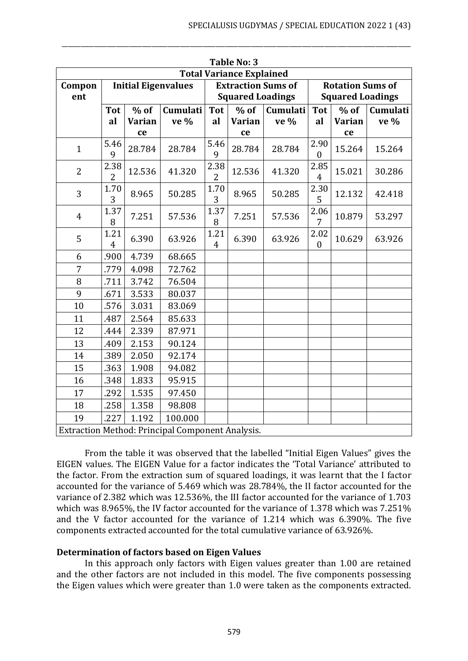| <b>Table No: 3</b>                               |                                 |               |                            |                        |                           |          |                          |                         |          |
|--------------------------------------------------|---------------------------------|---------------|----------------------------|------------------------|---------------------------|----------|--------------------------|-------------------------|----------|
| <b>Total Variance Explained</b>                  |                                 |               |                            |                        |                           |          |                          |                         |          |
| Compon                                           |                                 |               | <b>Initial Eigenvalues</b> |                        | <b>Extraction Sums of</b> |          | <b>Rotation Sums of</b>  |                         |          |
| ent                                              |                                 |               |                            |                        | <b>Squared Loadings</b>   |          |                          | <b>Squared Loadings</b> |          |
|                                                  | <b>Tot</b>                      | $%$ of        | Cumulati                   | <b>Tot</b>             | $%$ of                    | Cumulati | <b>Tot</b>               | $%$ of                  | Cumulati |
|                                                  | al                              | <b>Varian</b> | ve %                       | al                     | <b>Varian</b>             | ve %     | al                       | <b>Varian</b>           | ve %     |
|                                                  |                                 | ce            |                            |                        | ce                        |          |                          | ce                      |          |
| $\mathbf{1}$                                     | 5.46<br>9                       | 28.784        | 28.784                     | 5.46<br>9              | 28.784                    | 28.784   | 2.90<br>$\boldsymbol{0}$ | 15.264                  | 15.264   |
| $\overline{2}$                                   | 2.38<br>2                       | 12.536        | 41.320                     | 2.38<br>2              | 12.536                    | 41.320   | 2.85<br>$\overline{4}$   | 15.021                  | 30.286   |
| 3                                                | 1.70<br>3                       | 8.965         | 50.285                     | 1.70<br>3              | 8.965                     | 50.285   | 2.30<br>5                | 12.132                  | 42.418   |
| $\overline{4}$                                   | 1.37<br>8                       | 7.251         | 57.536                     | 1.37<br>8              | 7.251                     | 57.536   | 2.06<br>7                | 10.879                  | 53.297   |
| 5                                                | 1.21<br>$\overline{\mathbf{4}}$ | 6.390         | 63.926                     | 1.21<br>$\overline{4}$ | 6.390                     | 63.926   | 2.02<br>$\boldsymbol{0}$ | 10.629                  | 63.926   |
| 6                                                | .900                            | 4.739         | 68.665                     |                        |                           |          |                          |                         |          |
| 7                                                | .779                            | 4.098         | 72.762                     |                        |                           |          |                          |                         |          |
| 8                                                | .711                            | 3.742         | 76.504                     |                        |                           |          |                          |                         |          |
| 9                                                | .671                            | 3.533         | 80.037                     |                        |                           |          |                          |                         |          |
| 10                                               | .576                            | 3.031         | 83.069                     |                        |                           |          |                          |                         |          |
| 11                                               | .487                            | 2.564         | 85.633                     |                        |                           |          |                          |                         |          |
| 12                                               | .444                            | 2.339         | 87.971                     |                        |                           |          |                          |                         |          |
| 13                                               | .409                            | 2.153         | 90.124                     |                        |                           |          |                          |                         |          |
| 14                                               | .389                            | 2.050         | 92.174                     |                        |                           |          |                          |                         |          |
| 15                                               | .363                            | 1.908         | 94.082                     |                        |                           |          |                          |                         |          |
| 16                                               | .348                            | 1.833         | 95.915                     |                        |                           |          |                          |                         |          |
| 17                                               | .292                            | 1.535         | 97.450                     |                        |                           |          |                          |                         |          |
| 18                                               | .258                            | 1.358         | 98.808                     |                        |                           |          |                          |                         |          |
| 19                                               | .227                            | 1.192         | 100.000                    |                        |                           |          |                          |                         |          |
| Extraction Method: Principal Component Analysis. |                                 |               |                            |                        |                           |          |                          |                         |          |

\_\_\_\_\_\_\_\_\_\_\_\_\_\_\_\_\_\_\_\_\_\_\_\_\_\_\_\_\_\_\_\_\_\_\_\_\_\_\_\_\_\_\_\_\_\_\_\_\_\_\_\_\_\_\_\_\_\_\_\_\_\_\_\_\_\_\_\_\_\_\_\_\_\_\_\_\_\_\_\_\_\_\_\_\_\_\_\_\_\_\_\_\_\_\_\_\_\_\_\_\_\_\_\_\_\_\_\_\_

From the table it was observed that the labelled "Initial Eigen Values" gives the EIGEN values. The EIGEN Value for a factor indicates the 'Total Variance' attributed to the factor. From the extraction sum of squared loadings, it was learnt that the I factor accounted for the variance of 5.469 which was 28.784%, the II factor accounted for the variance of 2.382 which was 12.536%, the III factor accounted for the variance of 1.703 which was 8.965%, the IV factor accounted for the variance of 1.378 which was 7.251% and the V factor accounted for the variance of 1.214 which was 6.390%. The five components extracted accounted for the total cumulative variance of 63.926%.

#### **Determination of factors based on Eigen Values**

In this approach only factors with Eigen values greater than 1.00 are retained and the other factors are not included in this model. The five components possessing the Eigen values which were greater than 1.0 were taken as the components extracted.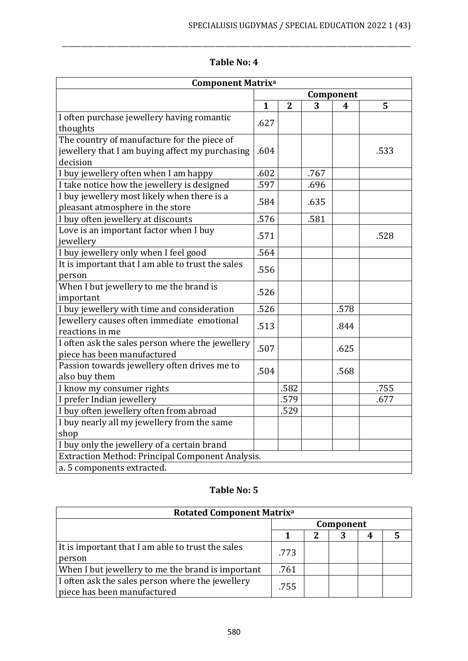| <b>Component Matrixa</b>                                                                                   |           |                |      |      |      |
|------------------------------------------------------------------------------------------------------------|-----------|----------------|------|------|------|
|                                                                                                            | Component |                |      |      |      |
|                                                                                                            | 1         | $\overline{2}$ | 3    | 4    | 5    |
| I often purchase jewellery having romantic<br>thoughts                                                     | .627      |                |      |      |      |
| The country of manufacture for the piece of<br>jewellery that I am buying affect my purchasing<br>decision | .604      |                |      |      | .533 |
| I buy jewellery often when I am happy                                                                      | .602      |                | .767 |      |      |
| I take notice how the jewellery is designed                                                                | .597      |                | .696 |      |      |
| I buy jewellery most likely when there is a<br>pleasant atmosphere in the store                            | .584      |                | .635 |      |      |
| I buy often jewellery at discounts                                                                         | .576      |                | .581 |      |      |
| Love is an important factor when I buy<br>jewellery                                                        | .571      |                |      |      | .528 |
| I buy jewellery only when I feel good                                                                      | .564      |                |      |      |      |
| It is important that I am able to trust the sales<br>person                                                | .556      |                |      |      |      |
| When I but jewellery to me the brand is<br>important                                                       | .526      |                |      |      |      |
| I buy jewellery with time and consideration                                                                | .526      |                |      | .578 |      |
| Jewellery causes often immediate emotional<br>reactions in me                                              | .513      |                |      | .844 |      |
| I often ask the sales person where the jewellery<br>piece has been manufactured                            | .507      |                |      | .625 |      |
| Passion towards jewellery often drives me to<br>also buy them                                              | .504      |                |      | .568 |      |
| I know my consumer rights                                                                                  |           | .582           |      |      | .755 |
| I prefer Indian jewellery                                                                                  |           | .579           |      |      | .677 |
| I buy often jewellery often from abroad                                                                    |           | .529           |      |      |      |
| I buy nearly all my jewellery from the same                                                                |           |                |      |      |      |
| shop                                                                                                       |           |                |      |      |      |
| I buy only the jewellery of a certain brand                                                                |           |                |      |      |      |
| Extraction Method: Principal Component Analysis.                                                           |           |                |      |      |      |
| a. 5 components extracted.                                                                                 |           |                |      |      |      |

# **Table No: 4**

\_\_\_\_\_\_\_\_\_\_\_\_\_\_\_\_\_\_\_\_\_\_\_\_\_\_\_\_\_\_\_\_\_\_\_\_\_\_\_\_\_\_\_\_\_\_\_\_\_\_\_\_\_\_\_\_\_\_\_\_\_\_\_\_\_\_\_\_\_\_\_\_\_\_\_\_\_\_\_\_\_\_\_\_\_\_\_\_\_\_\_\_\_\_\_\_\_\_\_\_\_\_\_\_\_\_\_\_\_

# **Table No: 5**

| <b>Rotated Component Matrix<sup>a</sup></b>                                     |      |  |           |   |  |
|---------------------------------------------------------------------------------|------|--|-----------|---|--|
|                                                                                 |      |  | Component |   |  |
|                                                                                 |      |  | 3         | 4 |  |
| It is important that I am able to trust the sales<br>person                     | .773 |  |           |   |  |
| When I but jewellery to me the brand is important                               | .761 |  |           |   |  |
| I often ask the sales person where the jewellery<br>piece has been manufactured | .755 |  |           |   |  |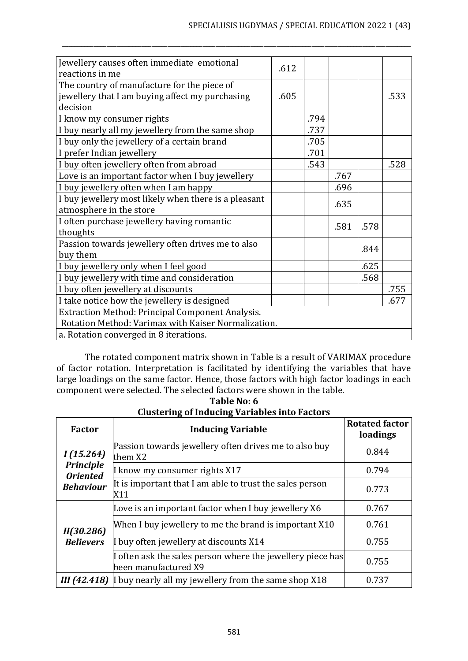| Jewellery causes often immediate emotional              | .612 |      |      |      |      |  |
|---------------------------------------------------------|------|------|------|------|------|--|
| reactions in me                                         |      |      |      |      |      |  |
| The country of manufacture for the piece of             |      |      |      |      |      |  |
| jewellery that I am buying affect my purchasing         | .605 |      |      |      | .533 |  |
| decision                                                |      |      |      |      |      |  |
| I know my consumer rights                               |      | .794 |      |      |      |  |
| I buy nearly all my jewellery from the same shop        |      | .737 |      |      |      |  |
| I buy only the jewellery of a certain brand             |      | .705 |      |      |      |  |
| I prefer Indian jewellery                               |      | .701 |      |      |      |  |
| I buy often jewellery often from abroad                 |      | .543 |      |      | .528 |  |
| Love is an important factor when I buy jewellery        |      |      | .767 |      |      |  |
| I buy jewellery often when I am happy                   |      |      | .696 |      |      |  |
| I buy jewellery most likely when there is a pleasant    |      |      | .635 |      |      |  |
| atmosphere in the store                                 |      |      |      |      |      |  |
| I often purchase jewellery having romantic              |      |      | .581 | .578 |      |  |
| thoughts                                                |      |      |      |      |      |  |
| Passion towards jewellery often drives me to also       |      |      |      | .844 |      |  |
| buy them                                                |      |      |      |      |      |  |
| I buy jewellery only when I feel good                   |      |      |      | .625 |      |  |
| I buy jewellery with time and consideration             |      |      |      | .568 |      |  |
| I buy often jewellery at discounts                      |      |      |      |      | .755 |  |
| I take notice how the jewellery is designed             |      |      |      | .677 |      |  |
| <b>Extraction Method: Principal Component Analysis.</b> |      |      |      |      |      |  |
| Rotation Method: Varimax with Kaiser Normalization.     |      |      |      |      |      |  |
| a. Rotation converged in 8 iterations.                  |      |      |      |      |      |  |

\_\_\_\_\_\_\_\_\_\_\_\_\_\_\_\_\_\_\_\_\_\_\_\_\_\_\_\_\_\_\_\_\_\_\_\_\_\_\_\_\_\_\_\_\_\_\_\_\_\_\_\_\_\_\_\_\_\_\_\_\_\_\_\_\_\_\_\_\_\_\_\_\_\_\_\_\_\_\_\_\_\_\_\_\_\_\_\_\_\_\_\_\_\_\_\_\_\_\_\_\_\_\_\_\_\_\_\_\_

The rotated component matrix shown in Table is a result of VARIMAX procedure of factor rotation. Interpretation is facilitated by identifying the variables that have large loadings on the same factor. Hence, those factors with high factor loadings in each component were selected. The selected factors were shown in the table.

| Factor                              | <b>Inducing Variable</b>                                                           | <b>Rotated factor</b><br>loadings |
|-------------------------------------|------------------------------------------------------------------------------------|-----------------------------------|
| I(15.264)                           | Passion towards jewellery often drives me to also buy<br>them X2                   | 0.844                             |
| <b>Principle</b><br><b>Oriented</b> | I know my consumer rights X17                                                      | 0.794                             |
| <b>Behaviour</b>                    | It is important that I am able to trust the sales person<br>X11                    | 0.773                             |
|                                     | Love is an important factor when I buy jewellery X6                                | 0.767                             |
| II(30.286)                          | When I buy jewellery to me the brand is important X10                              | 0.761                             |
| <b>Believers</b>                    | I buy often jewellery at discounts X14                                             | 0.755                             |
|                                     | I often ask the sales person where the jewellery piece has<br>been manufactured X9 | 0.755                             |
| III(42.418)                         | I buy nearly all my jewellery from the same shop X18                               | 0.737                             |

**Table No: 6 Clustering of Inducing Variables into Factors**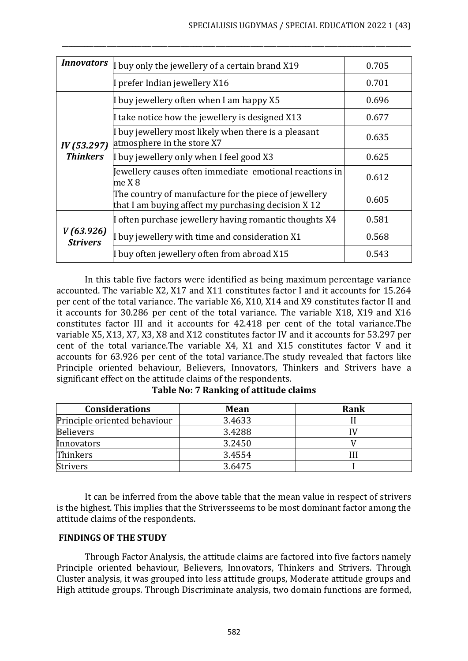| <i>Innovators</i>            | I buy only the jewellery of a certain brand X19                                                              | 0.705 |
|------------------------------|--------------------------------------------------------------------------------------------------------------|-------|
|                              | 0.701                                                                                                        |       |
|                              | I buy jewellery often when I am happy X5                                                                     | 0.696 |
|                              | I take notice how the jewellery is designed X13                                                              | 0.677 |
| IV(53.297)                   | I buy jewellery most likely when there is a pleasant<br>atmosphere in the store X7                           | 0.635 |
| <b>Thinkers</b>              | I buy jewellery only when I feel good X3                                                                     | 0.625 |
|                              | Jewellery causes often immediate emotional reactions in<br>me X8                                             | 0.612 |
|                              | The country of manufacture for the piece of jewellery<br>that I am buying affect my purchasing decision X 12 | 0.605 |
|                              | I often purchase jewellery having romantic thoughts X4                                                       | 0.581 |
| V(63.926)<br><b>Strivers</b> | I buy jewellery with time and consideration X1                                                               | 0.568 |
|                              | I buy often jewellery often from abroad X15                                                                  | 0.543 |

\_\_\_\_\_\_\_\_\_\_\_\_\_\_\_\_\_\_\_\_\_\_\_\_\_\_\_\_\_\_\_\_\_\_\_\_\_\_\_\_\_\_\_\_\_\_\_\_\_\_\_\_\_\_\_\_\_\_\_\_\_\_\_\_\_\_\_\_\_\_\_\_\_\_\_\_\_\_\_\_\_\_\_\_\_\_\_\_\_\_\_\_\_\_\_\_\_\_\_\_\_\_\_\_\_\_\_\_\_

In this table five factors were identified as being maximum percentage variance accounted. The variable X2, X17 and X11 constitutes factor I and it accounts for 15.264 per cent of the total variance. The variable X6, X10, X14 and X9 constitutes factor II and it accounts for 30.286 per cent of the total variance. The variable X18, X19 and X16 constitutes factor III and it accounts for 42.418 per cent of the total variance.The variable X5, X13, X7, X3, X8 and X12 constitutes factor IV and it accounts for 53.297 per cent of the total variance.The variable X4, X1 and X15 constitutes factor V and it accounts for 63.926 per cent of the total variance.The study revealed that factors like Principle oriented behaviour, Believers, Innovators, Thinkers and Strivers have a significant effect on the attitude claims of the respondents.

| <b>Considerations</b>        | Mean   | Rank |
|------------------------------|--------|------|
| Principle oriented behaviour | 3.4633 |      |
| <b>Believers</b>             | 3.4288 |      |
| Innovators                   | 3.2450 |      |
| <b>Thinkers</b>              | 3.4554 |      |
| <b>Strivers</b>              | 3.6475 |      |

**Table No: 7 Ranking of attitude claims**

It can be inferred from the above table that the mean value in respect of strivers is the highest. This implies that the Striversseems to be most dominant factor among the attitude claims of the respondents.

# **FINDINGS OF THE STUDY**

Through Factor Analysis, the attitude claims are factored into five factors namely Principle oriented behaviour, Believers, Innovators, Thinkers and Strivers. Through Cluster analysis, it was grouped into less attitude groups, Moderate attitude groups and High attitude groups. Through Discriminate analysis, two domain functions are formed,